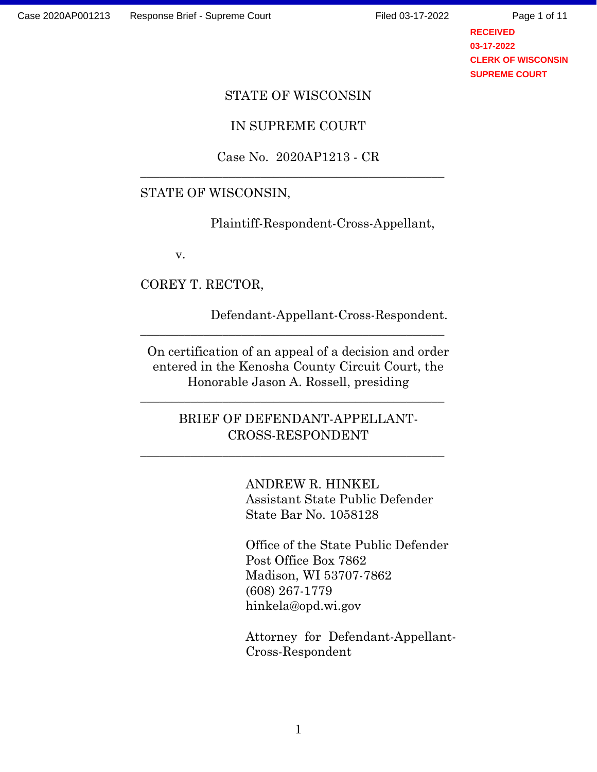Page 1 of 11

**RECEIVED 03-17-2022 CLERK OF WISCONSIN SUPREME COURT**

#### STATE OF WISCONSIN

## IN SUPREME COURT

# Case No. 2020AP1213 - CR<br>STATE OF WISCONSIN,

Plaintiff-Respondent-Cross-Appellant,

v.

COREY T. RECTOR,

 Defendant-Appellant-Cross-Respondent. \_\_\_\_\_\_\_\_\_\_\_\_\_\_\_\_\_\_\_\_\_\_\_\_\_\_\_\_\_\_\_\_\_\_\_\_\_\_\_\_\_\_\_\_\_\_\_\_ On certification of an appeal of a decision and order entered in the Kenosha County Circuit Court, the Honorable Jason A. Rossell, presiding \_\_\_\_\_\_\_\_\_\_\_\_\_\_\_\_\_\_\_\_\_\_\_\_\_\_\_\_\_\_\_\_\_\_\_\_\_\_\_\_\_\_\_\_\_\_\_\_ BRIEF OF DEFENDANT-APPELLANT-

CROSS-RESPONDENT \_\_\_\_\_\_\_\_\_\_\_\_\_\_\_\_\_\_\_\_\_\_\_\_\_\_\_\_\_\_\_\_\_\_\_\_\_\_\_\_\_\_\_\_\_\_\_\_ ANDREW R. HINKEL

Assistant State Public Defender State Bar No. 1058128

Office of the State Public Defender Post Office Box 7862 Madison, WI 53707-7862 (608) 267-1779 hinkela@opd.wi.gov

Attorney for Defendant-Appellant-Cross-Respondent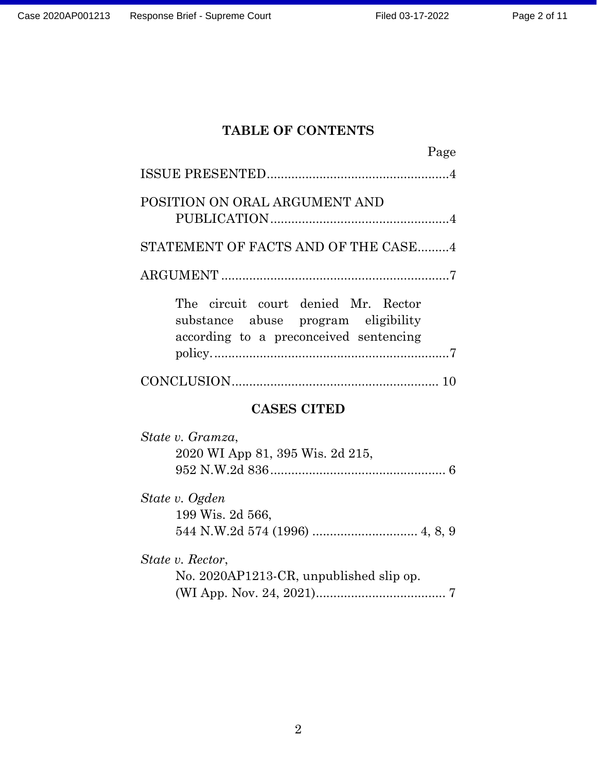# TABLE OF CONTENTS

| <b>TABLE OF CONTENTS</b>                                                                                             |  |
|----------------------------------------------------------------------------------------------------------------------|--|
| Page                                                                                                                 |  |
|                                                                                                                      |  |
| POSITION ON ORAL ARGUMENT AND                                                                                        |  |
| STATEMENT OF FACTS AND OF THE CASE4                                                                                  |  |
|                                                                                                                      |  |
| The circuit court denied Mr. Rector<br>substance abuse program eligibility<br>according to a preconceived sentencing |  |
|                                                                                                                      |  |
| <b>CASES CITED</b>                                                                                                   |  |
| State v. Gramza,<br>2020 WI App 81, 395 Wis. 2d 215,                                                                 |  |

State v. Ogden 199 Wis. 2d 566, 544 N.W.2d 574 (1996) .............................. 4, 8, 9

State v. Rector, No. 2020AP1213-CR, unpublished slip op. (WI App. Nov. 24, 2021) ..................................... 7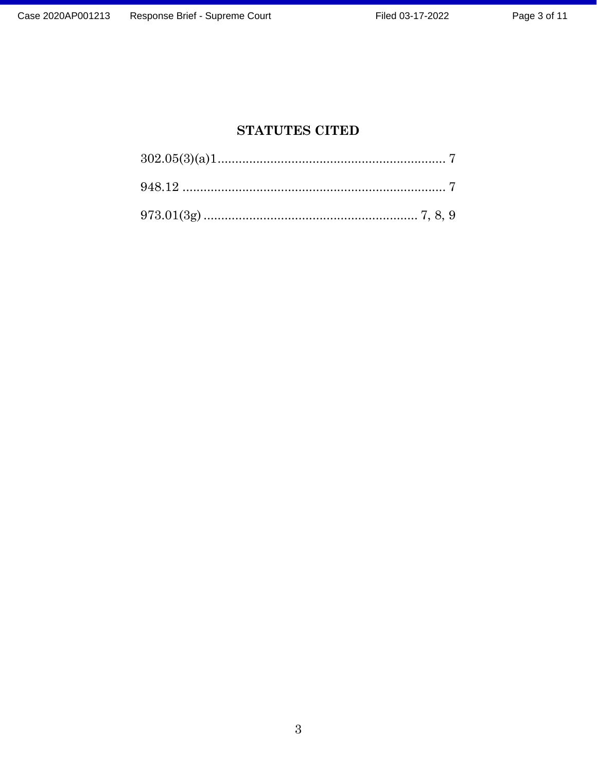# STATUTES CITED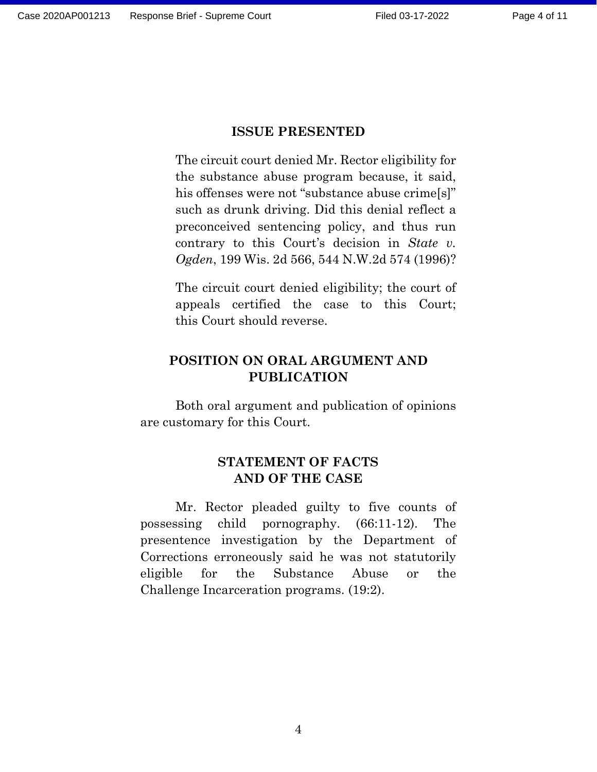### ISSUE PRESENTED

The circuit court denied Mr. Rector eligibility for the substance abuse program because, it said, his offenses were not "substance abuse crime[s]" such as drunk driving. Did this denial reflect a preconceived sentencing policy, and thus run contrary to this Court's decision in State v. Ogden, 199 Wis. 2d 566, 544 N.W.2d 574 (1996)?

The circuit court denied eligibility; the court of appeals certified the case to this Court; this Court should reverse.

# POSITION ON ORAL ARGUMENT AND PUBLICATION

Both oral argument and publication of opinions are customary for this Court.

# STATEMENT OF FACTS AND OF THE CASE

Mr. Rector pleaded guilty to five counts of possessing child pornography. (66:11-12). The presentence investigation by the Department of Corrections erroneously said he was not statutorily eligible for the Substance Abuse or the Challenge Incarceration programs. (19:2).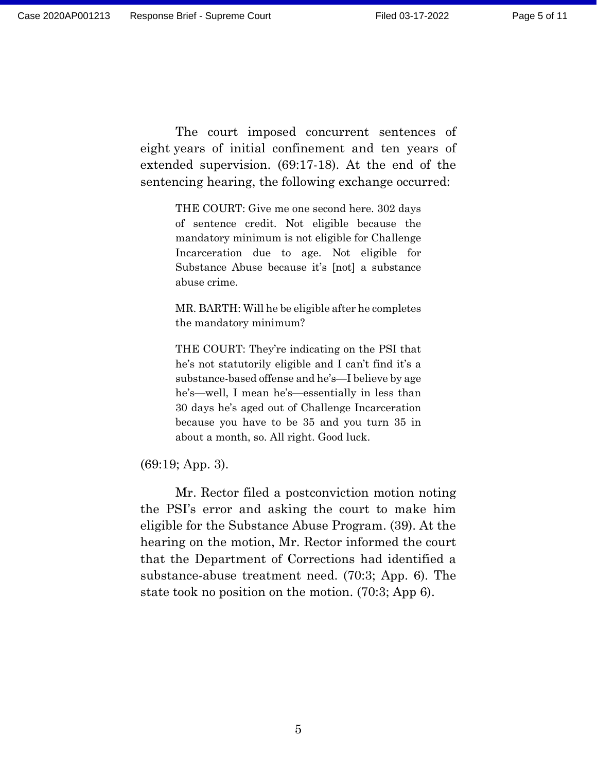The court imposed concurrent sentences of eight years of initial confinement and ten years of extended supervision. (69:17-18). At the end of the sentencing hearing, the following exchange occurred:

> THE COURT: Give me one second here. 302 days of sentence credit. Not eligible because the mandatory minimum is not eligible for Challenge Incarceration due to age. Not eligible for Substance Abuse because it's [not] a substance abuse crime.

> MR. BARTH: Will he be eligible after he completes the mandatory minimum?

> THE COURT: They're indicating on the PSI that he's not statutorily eligible and I can't find it's a substance-based offense and he's—I believe by age he's—well, I mean he's—essentially in less than 30 days he's aged out of Challenge Incarceration because you have to be 35 and you turn 35 in about a month, so. All right. Good luck.

(69:19; App. 3).

Mr. Rector filed a postconviction motion noting the PSI's error and asking the court to make him eligible for the Substance Abuse Program. (39). At the hearing on the motion, Mr. Rector informed the court that the Department of Corrections had identified a substance-abuse treatment need. (70:3; App. 6). The state took no position on the motion. (70:3; App 6).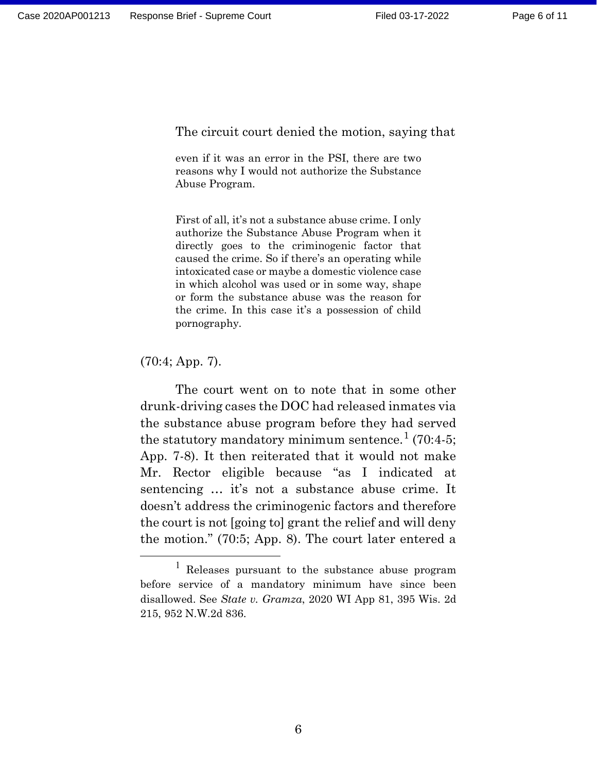The circuit court denied the motion, saying that

Brief - Supreme Court<br>
Filed 03-17-2022<br>
Pe<br>
The circuit court denied the motion, saying that<br>
even if it was an error in the PSI, there are two<br>
reasons why I would not authorize the Substance<br>
Abuse Program. reasons why I would not authorize the Substance Abuse Program.

First of all, it's not a substance abuse crime. I only authorize the Substance Abuse Program when it directly goes to the criminogenic factor that caused the crime. So if there's an operating while intoxicated case or maybe a domestic violence case in which alcohol was used or in some way, shape or form the substance abuse was the reason for the crime. In this case it's a possession of child pornography.

#### (70:4; App. 7).

The court went on to note that in some other drunk-driving cases the DOC had released inmates via the substance abuse program before they had served the statutory mandatory minimum sentence. $^{1}$  (70:4-5; App. 7-8). It then reiterated that it would not make Mr. Rector eligible because "as I indicated at sentencing … it's not a substance abuse crime. It doesn't address the criminogenic factors and therefore the court is not [going to] grant the relief and will deny the motion." (70:5; App. 8). The court later entered a

<sup>&</sup>lt;sup>1</sup> Releases pursuant to the substance abuse program before service of a mandatory minimum have since been disallowed. See State v. Gramza, 2020 WI App 81, 395 Wis. 2d 215, 952 N.W.2d 836.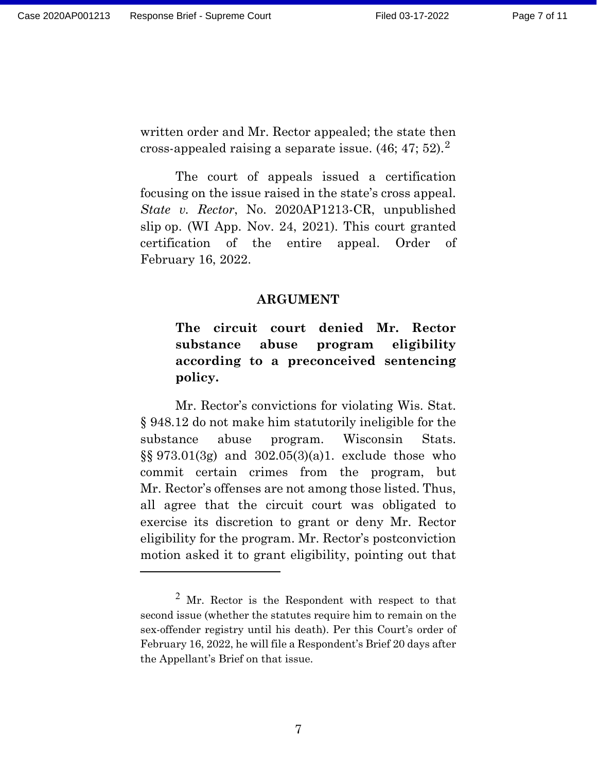written order and Mr. Rector appealed; the state then cross-appealed raising a separate issue.  $(46; 47; 52).$ <sup>2</sup>

The court of appeals issued a certification focusing on the issue raised in the state's cross appeal. State v. Rector, No. 2020AP1213-CR, unpublished slip op. (WI App. Nov. 24, 2021). This court granted certification of the entire appeal. Order of February 16, 2022.

# ARGUMENT

# The circuit court denied Mr. Rector substance abuse program eligibility according to a preconceived sentencing policy.

Mr. Rector's convictions for violating Wis. Stat. § 948.12 do not make him statutorily ineligible for the substance abuse program. Wisconsin Stats. §§ 973.01(3g) and 302.05(3)(a)1. exclude those who commit certain crimes from the program, but Mr. Rector's offenses are not among those listed. Thus, all agree that the circuit court was obligated to exercise its discretion to grant or deny Mr. Rector eligibility for the program. Mr. Rector's postconviction motion asked it to grant eligibility, pointing out that

<sup>&</sup>lt;sup>2</sup> Mr. Rector is the Respondent with respect to that second issue (whether the statutes require him to remain on the sex-offender registry until his death). Per this Court's order of February 16, 2022, he will file a Respondent's Brief 20 days after the Appellant's Brief on that issue.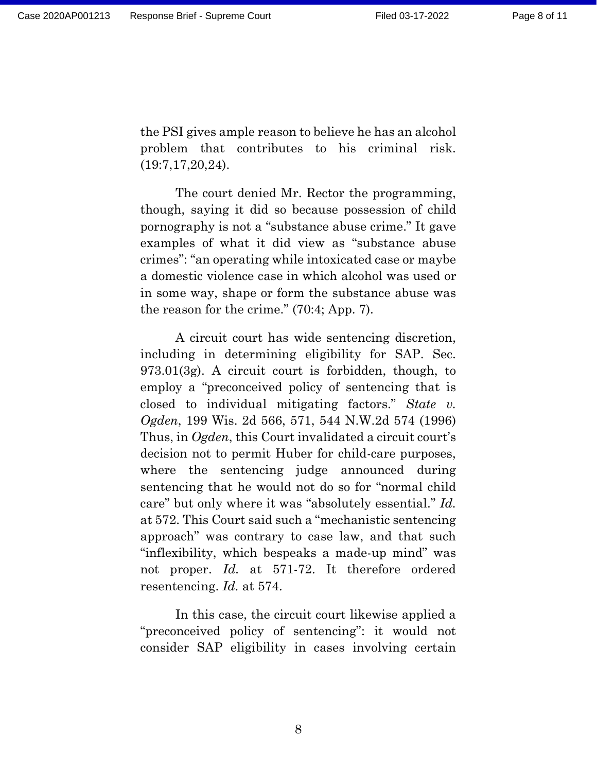the PSI gives ample reason to believe he has an alcohol problem that contributes to his criminal risk. (19:7,17,20,24).

The court denied Mr. Rector the programming, though, saying it did so because possession of child pornography is not a "substance abuse crime." It gave examples of what it did view as "substance abuse crimes": "an operating while intoxicated case or maybe a domestic violence case in which alcohol was used or in some way, shape or form the substance abuse was the reason for the crime." (70:4; App. 7).

A circuit court has wide sentencing discretion, including in determining eligibility for SAP. Sec. 973.01(3g). A circuit court is forbidden, though, to employ a "preconceived policy of sentencing that is closed to individual mitigating factors." State v. Ogden, 199 Wis. 2d 566, 571, 544 N.W.2d 574 (1996) Thus, in Ogden, this Court invalidated a circuit court's decision not to permit Huber for child-care purposes, where the sentencing judge announced during sentencing that he would not do so for "normal child care" but only where it was "absolutely essential." Id. at 572. This Court said such a "mechanistic sentencing approach" was contrary to case law, and that such "inflexibility, which bespeaks a made-up mind" was not proper. Id. at 571-72. It therefore ordered resentencing. Id. at 574.

In this case, the circuit court likewise applied a "preconceived policy of sentencing": it would not consider SAP eligibility in cases involving certain

8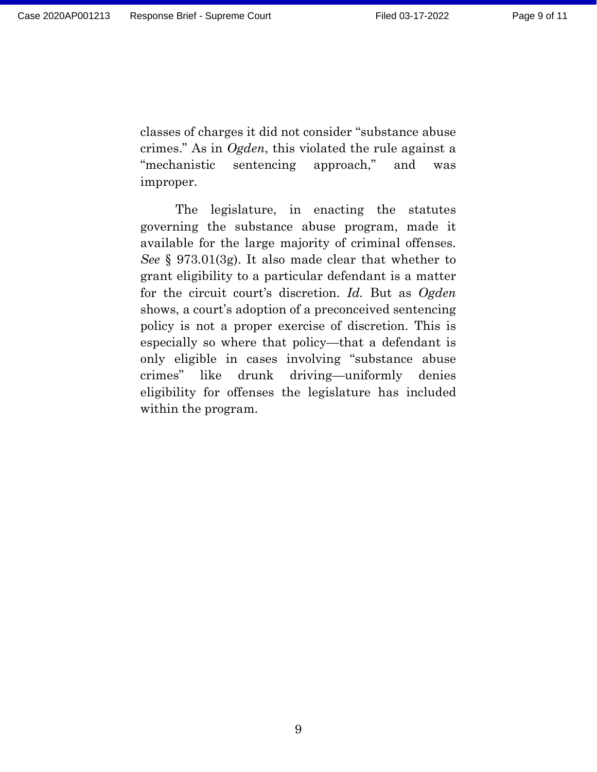classes of charges it did not consider "substance abuse crimes." As in Ogden, this violated the rule against a "mechanistic sentencing approach," and was improper.

The legislature, in enacting the statutes governing the substance abuse program, made it available for the large majority of criminal offenses. See § 973.01(3g). It also made clear that whether to grant eligibility to a particular defendant is a matter for the circuit court's discretion. Id. But as Ogden shows, a court's adoption of a preconceived sentencing policy is not a proper exercise of discretion. This is especially so where that policy—that a defendant is only eligible in cases involving "substance abuse crimes" like drunk driving—uniformly denies eligibility for offenses the legislature has included within the program.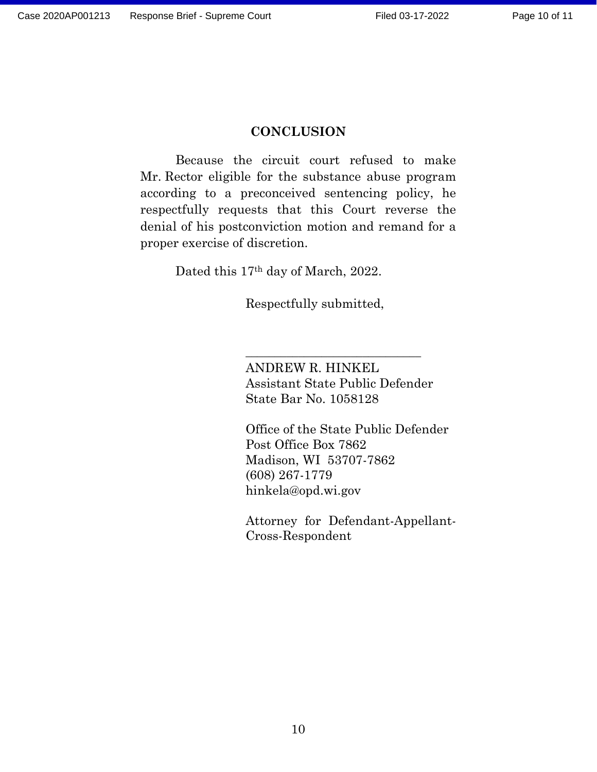#### **CONCLUSION**

Because the circuit court refused to make Mr. Rector eligible for the substance abuse program according to a preconceived sentencing policy, he respectfully requests that this Court reverse the denial of his postconviction motion and remand for a proper exercise of discretion.

Dated this 17th day of March, 2022.

Respectfully submitted, \_\_\_\_\_\_\_\_\_\_\_\_\_\_\_\_\_\_\_\_\_\_\_\_\_\_\_\_\_\_

ANDREW R. HINKEL Assistant State Public Defender State Bar No. 1058128

Office of the State Public Defender Post Office Box 7862 Madison, WI 53707-7862 (608) 267-1779 hinkela@opd.wi.gov

Attorney for Defendant-Appellant-Cross-Respondent